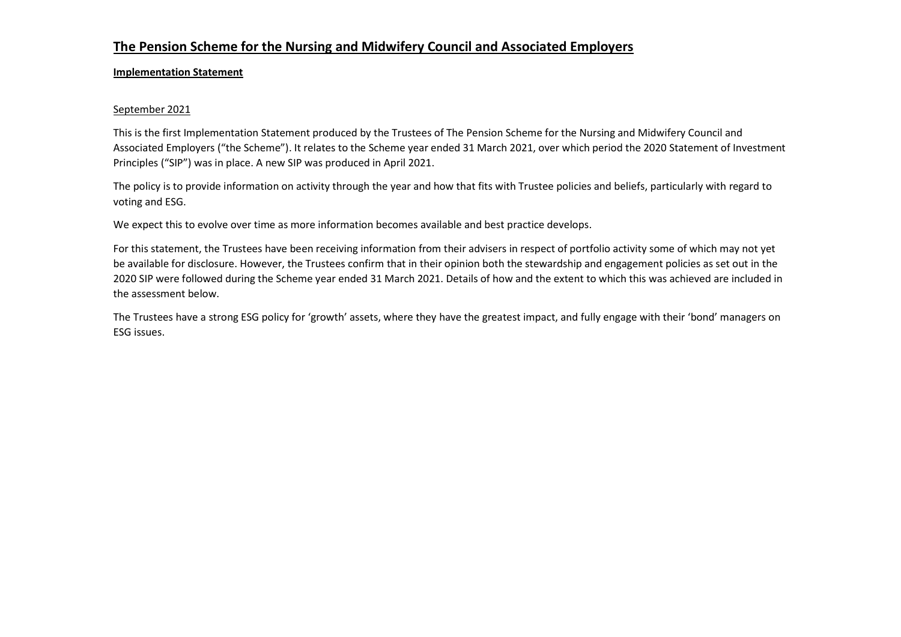#### Implementation Statement

#### September 2021

This is the first Implementation Statement produced by the Trustees of The Pension Scheme for the Nursing and Midwifery Council and Associated Employers ("the Scheme"). It relates to the Scheme year ended 31 March 2021, over which period the 2020 Statement of Investment Principles ("SIP") was in place. A new SIP was produced in April 2021.

The policy is to provide information on activity through the year and how that fits with Trustee policies and beliefs, particularly with regard to voting and ESG.

We expect this to evolve over time as more information becomes available and best practice develops.

For this statement, the Trustees have been receiving information from their advisers in respect of portfolio activity some of which may not yet be available for disclosure. However, the Trustees confirm that in their opinion both the stewardship and engagement policies as set out in the 2020 SIP were followed during the Scheme year ended 31 March 2021. Details of how and the extent to which this was achieved are included in the assessment below.

The Trustees have a strong ESG policy for 'growth' assets, where they have the greatest impact, and fully engage with their 'bond' managers on ESG issues.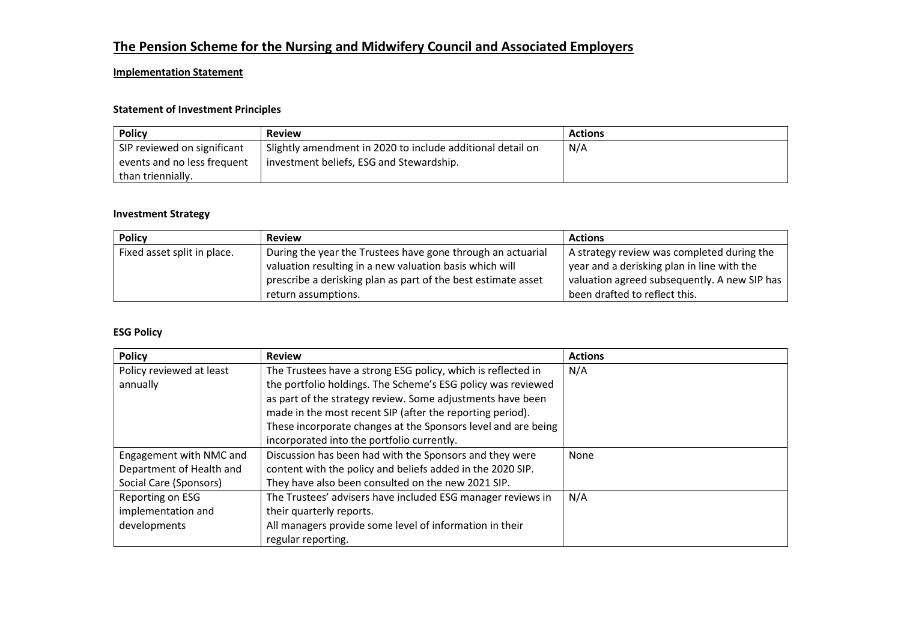#### Implementation Statement

### Statement of Investment Principles

| <b>Policy</b>               | <b>Review</b>                                              | <b>Actions</b> |
|-----------------------------|------------------------------------------------------------|----------------|
| SIP reviewed on significant | Slightly amendment in 2020 to include additional detail on | N/A            |
| events and no less frequent | investment beliefs, ESG and Stewardship.                   |                |
| than triennially.           |                                                            |                |

#### Investment Strategy

| <b>Policy</b>               | <b>Review</b>                                                 | <b>Actions</b>                               |
|-----------------------------|---------------------------------------------------------------|----------------------------------------------|
| Fixed asset split in place. | During the year the Trustees have gone through an actuarial   | A strategy review was completed during the   |
|                             | valuation resulting in a new valuation basis which will       | year and a derisking plan in line with the   |
|                             | prescribe a derisking plan as part of the best estimate asset | valuation agreed subsequently. A new SIP has |
|                             | return assumptions.                                           | been drafted to reflect this.                |

### ESG Policy

| <b>Policy</b>            | <b>Review</b>                                                 | <b>Actions</b> |
|--------------------------|---------------------------------------------------------------|----------------|
| Policy reviewed at least | The Trustees have a strong ESG policy, which is reflected in  | N/A            |
| annually                 | the portfolio holdings. The Scheme's ESG policy was reviewed  |                |
|                          | as part of the strategy review. Some adjustments have been    |                |
|                          | made in the most recent SIP (after the reporting period).     |                |
|                          | These incorporate changes at the Sponsors level and are being |                |
|                          | incorporated into the portfolio currently.                    |                |
| Engagement with NMC and  | Discussion has been had with the Sponsors and they were       | None           |
| Department of Health and | content with the policy and beliefs added in the 2020 SIP.    |                |
| Social Care (Sponsors)   | They have also been consulted on the new 2021 SIP.            |                |
| Reporting on ESG         | The Trustees' advisers have included ESG manager reviews in   | N/A            |
| implementation and       | their quarterly reports.                                      |                |
| developments             | All managers provide some level of information in their       |                |
|                          | regular reporting.                                            |                |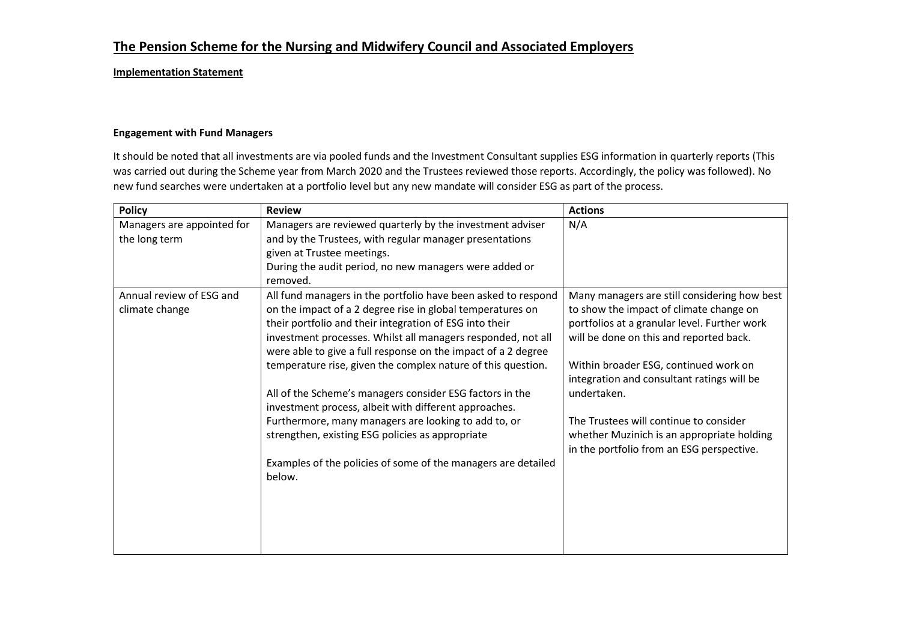Implementation Statement

#### Engagement with Fund Managers

It should be noted that all investments are via pooled funds and the Investment Consultant supplies ESG information in quarterly reports (This was carried out during the Scheme year from March 2020 and the Trustees reviewed those reports. Accordingly, the policy was followed). No new fund searches were undertaken at a portfolio level but any new mandate will consider ESG as part of the process.

| <b>Policy</b>              | <b>Review</b>                                                                                                                 | <b>Actions</b>                                                                          |
|----------------------------|-------------------------------------------------------------------------------------------------------------------------------|-----------------------------------------------------------------------------------------|
| Managers are appointed for | Managers are reviewed quarterly by the investment adviser                                                                     | N/A                                                                                     |
| the long term              | and by the Trustees, with regular manager presentations                                                                       |                                                                                         |
|                            | given at Trustee meetings.                                                                                                    |                                                                                         |
|                            | During the audit period, no new managers were added or<br>removed.                                                            |                                                                                         |
| Annual review of ESG and   | All fund managers in the portfolio have been asked to respond                                                                 | Many managers are still considering how best                                            |
| climate change             | on the impact of a 2 degree rise in global temperatures on                                                                    | to show the impact of climate change on                                                 |
|                            | their portfolio and their integration of ESG into their                                                                       | portfolios at a granular level. Further work                                            |
|                            | investment processes. Whilst all managers responded, not all<br>were able to give a full response on the impact of a 2 degree | will be done on this and reported back.                                                 |
|                            | temperature rise, given the complex nature of this question.                                                                  | Within broader ESG, continued work on                                                   |
|                            |                                                                                                                               | integration and consultant ratings will be                                              |
|                            | All of the Scheme's managers consider ESG factors in the<br>investment process, albeit with different approaches.             | undertaken.                                                                             |
|                            | Furthermore, many managers are looking to add to, or                                                                          | The Trustees will continue to consider                                                  |
|                            | strengthen, existing ESG policies as appropriate                                                                              | whether Muzinich is an appropriate holding<br>in the portfolio from an ESG perspective. |
|                            | Examples of the policies of some of the managers are detailed                                                                 |                                                                                         |
|                            | below.                                                                                                                        |                                                                                         |
|                            |                                                                                                                               |                                                                                         |
|                            |                                                                                                                               |                                                                                         |
|                            |                                                                                                                               |                                                                                         |
|                            |                                                                                                                               |                                                                                         |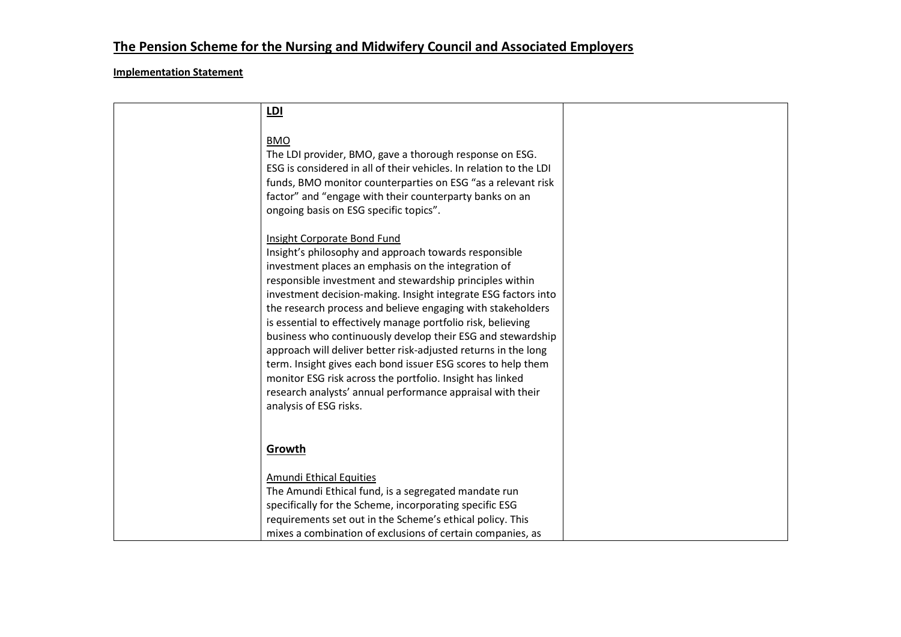| LDI                                                                                                                                                                                                                                                                                                                                                                                                                                                                                                                                                                                                                                                                                                                                                            |  |
|----------------------------------------------------------------------------------------------------------------------------------------------------------------------------------------------------------------------------------------------------------------------------------------------------------------------------------------------------------------------------------------------------------------------------------------------------------------------------------------------------------------------------------------------------------------------------------------------------------------------------------------------------------------------------------------------------------------------------------------------------------------|--|
| <b>BMO</b><br>The LDI provider, BMO, gave a thorough response on ESG.<br>ESG is considered in all of their vehicles. In relation to the LDI<br>funds, BMO monitor counterparties on ESG "as a relevant risk<br>factor" and "engage with their counterparty banks on an<br>ongoing basis on ESG specific topics".                                                                                                                                                                                                                                                                                                                                                                                                                                               |  |
| Insight Corporate Bond Fund<br>Insight's philosophy and approach towards responsible<br>investment places an emphasis on the integration of<br>responsible investment and stewardship principles within<br>investment decision-making. Insight integrate ESG factors into<br>the research process and believe engaging with stakeholders<br>is essential to effectively manage portfolio risk, believing<br>business who continuously develop their ESG and stewardship<br>approach will deliver better risk-adjusted returns in the long<br>term. Insight gives each bond issuer ESG scores to help them<br>monitor ESG risk across the portfolio. Insight has linked<br>research analysts' annual performance appraisal with their<br>analysis of ESG risks. |  |
| Growth                                                                                                                                                                                                                                                                                                                                                                                                                                                                                                                                                                                                                                                                                                                                                         |  |
| Amundi Ethical Equities<br>The Amundi Ethical fund, is a segregated mandate run<br>specifically for the Scheme, incorporating specific ESG<br>requirements set out in the Scheme's ethical policy. This<br>mixes a combination of exclusions of certain companies, as                                                                                                                                                                                                                                                                                                                                                                                                                                                                                          |  |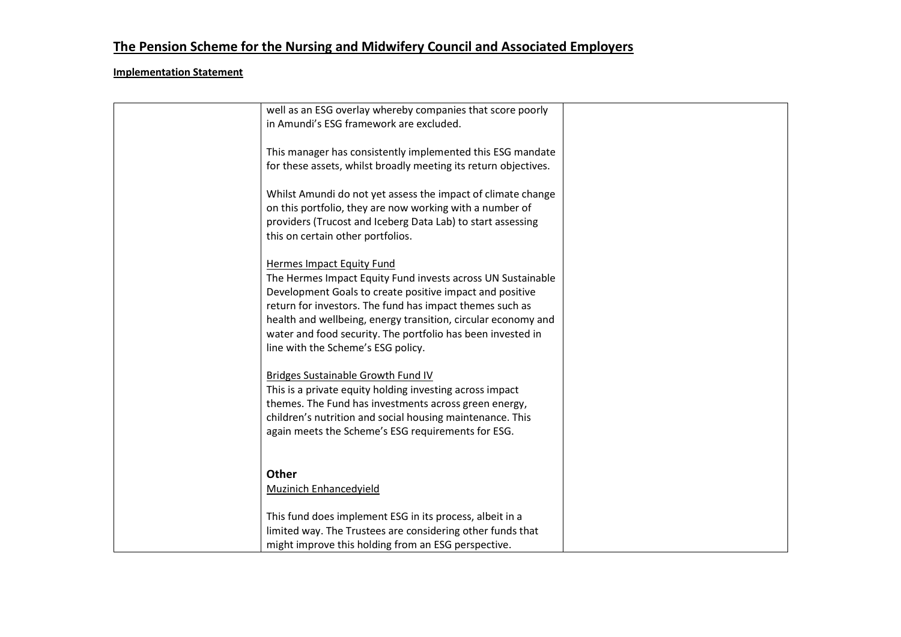| well as an ESG overlay whereby companies that score poorly<br>in Amundi's ESG framework are excluded.                                                                                                                                                                      |  |
|----------------------------------------------------------------------------------------------------------------------------------------------------------------------------------------------------------------------------------------------------------------------------|--|
| This manager has consistently implemented this ESG mandate<br>for these assets, whilst broadly meeting its return objectives.                                                                                                                                              |  |
| Whilst Amundi do not yet assess the impact of climate change<br>on this portfolio, they are now working with a number of<br>providers (Trucost and Iceberg Data Lab) to start assessing                                                                                    |  |
| this on certain other portfolios.                                                                                                                                                                                                                                          |  |
| <b>Hermes Impact Equity Fund</b><br>The Hermes Impact Equity Fund invests across UN Sustainable<br>Development Goals to create positive impact and positive<br>return for investors. The fund has impact themes such as                                                    |  |
| health and wellbeing, energy transition, circular economy and<br>water and food security. The portfolio has been invested in<br>line with the Scheme's ESG policy.                                                                                                         |  |
| Bridges Sustainable Growth Fund IV<br>This is a private equity holding investing across impact<br>themes. The Fund has investments across green energy,<br>children's nutrition and social housing maintenance. This<br>again meets the Scheme's ESG requirements for ESG. |  |
| Other<br>Muzinich Enhancedyield                                                                                                                                                                                                                                            |  |
| This fund does implement ESG in its process, albeit in a<br>limited way. The Trustees are considering other funds that<br>might improve this holding from an ESG perspective.                                                                                              |  |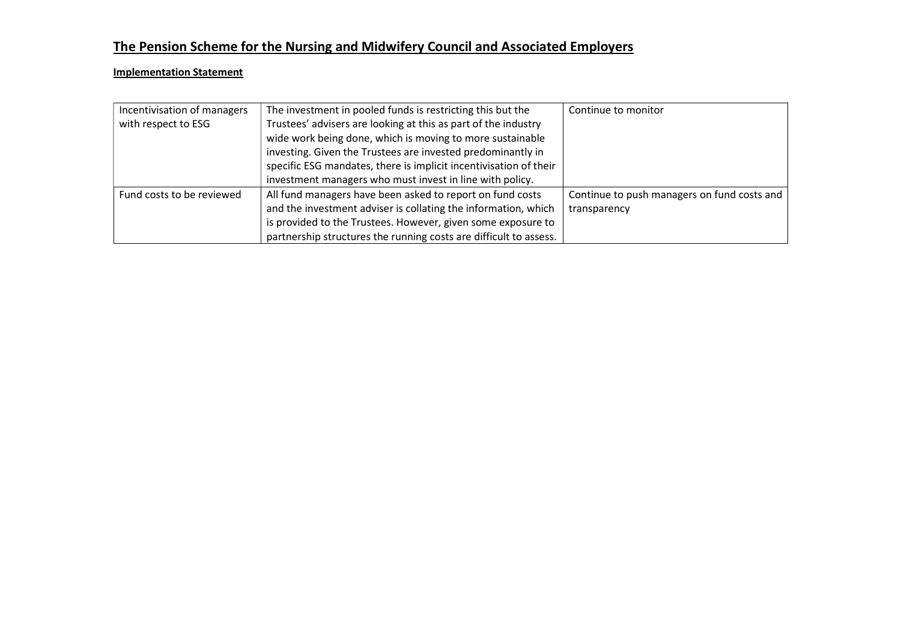| Incentivisation of managers | The investment in pooled funds is restricting this but the        | Continue to monitor                         |
|-----------------------------|-------------------------------------------------------------------|---------------------------------------------|
| with respect to ESG         | Trustees' advisers are looking at this as part of the industry    |                                             |
|                             | wide work being done, which is moving to more sustainable         |                                             |
|                             | investing. Given the Trustees are invested predominantly in       |                                             |
|                             | specific ESG mandates, there is implicit incentivisation of their |                                             |
|                             | investment managers who must invest in line with policy.          |                                             |
| Fund costs to be reviewed   | All fund managers have been asked to report on fund costs         | Continue to push managers on fund costs and |
|                             | and the investment adviser is collating the information, which    | transparency                                |
|                             | is provided to the Trustees. However, given some exposure to      |                                             |
|                             | partnership structures the running costs are difficult to assess. |                                             |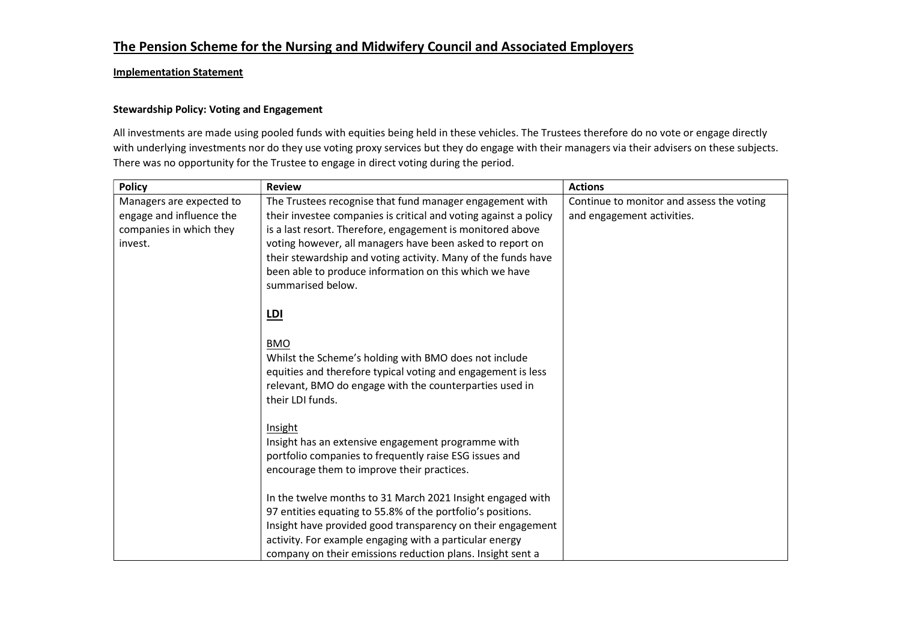#### Implementation Statement

#### Stewardship Policy: Voting and Engagement

All investments are made using pooled funds with equities being held in these vehicles. The Trustees therefore do no vote or engage directly with underlying investments nor do they use voting proxy services but they do engage with their managers via their advisers on these subjects. There was no opportunity for the Trustee to engage in direct voting during the period.

| <b>Policy</b>            | <b>Review</b>                                                    | <b>Actions</b>                            |
|--------------------------|------------------------------------------------------------------|-------------------------------------------|
| Managers are expected to | The Trustees recognise that fund manager engagement with         | Continue to monitor and assess the voting |
| engage and influence the | their investee companies is critical and voting against a policy | and engagement activities.                |
| companies in which they  | is a last resort. Therefore, engagement is monitored above       |                                           |
| invest.                  | voting however, all managers have been asked to report on        |                                           |
|                          | their stewardship and voting activity. Many of the funds have    |                                           |
|                          | been able to produce information on this which we have           |                                           |
|                          | summarised below.                                                |                                           |
|                          |                                                                  |                                           |
|                          | <u>LDI</u>                                                       |                                           |
|                          |                                                                  |                                           |
|                          | <b>BMO</b>                                                       |                                           |
|                          | Whilst the Scheme's holding with BMO does not include            |                                           |
|                          | equities and therefore typical voting and engagement is less     |                                           |
|                          | relevant, BMO do engage with the counterparties used in          |                                           |
|                          | their LDI funds.                                                 |                                           |
|                          |                                                                  |                                           |
|                          | Insight                                                          |                                           |
|                          | Insight has an extensive engagement programme with               |                                           |
|                          | portfolio companies to frequently raise ESG issues and           |                                           |
|                          | encourage them to improve their practices.                       |                                           |
|                          | In the twelve months to 31 March 2021 Insight engaged with       |                                           |
|                          | 97 entities equating to 55.8% of the portfolio's positions.      |                                           |
|                          | Insight have provided good transparency on their engagement      |                                           |
|                          | activity. For example engaging with a particular energy          |                                           |
|                          | company on their emissions reduction plans. Insight sent a       |                                           |
|                          |                                                                  |                                           |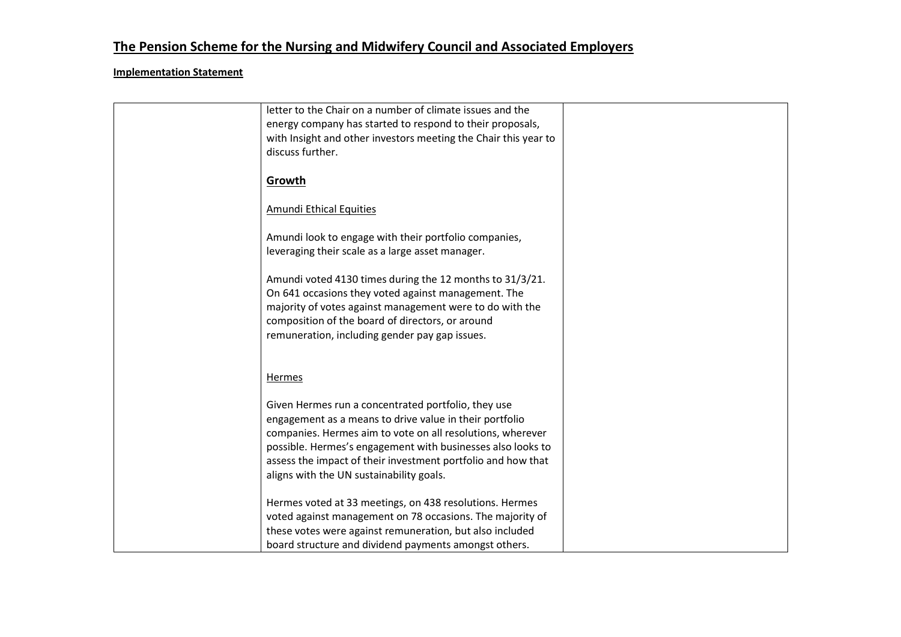| letter to the Chair on a number of climate issues and the       |  |
|-----------------------------------------------------------------|--|
| energy company has started to respond to their proposals,       |  |
| with Insight and other investors meeting the Chair this year to |  |
| discuss further.                                                |  |
|                                                                 |  |
|                                                                 |  |
| Growth                                                          |  |
|                                                                 |  |
| <b>Amundi Ethical Equities</b>                                  |  |
|                                                                 |  |
| Amundi look to engage with their portfolio companies,           |  |
|                                                                 |  |
| leveraging their scale as a large asset manager.                |  |
|                                                                 |  |
| Amundi voted 4130 times during the 12 months to 31/3/21.        |  |
| On 641 occasions they voted against management. The             |  |
| majority of votes against management were to do with the        |  |
|                                                                 |  |
| composition of the board of directors, or around                |  |
| remuneration, including gender pay gap issues.                  |  |
|                                                                 |  |
|                                                                 |  |
| <b>Hermes</b>                                                   |  |
|                                                                 |  |
|                                                                 |  |
| Given Hermes run a concentrated portfolio, they use             |  |
| engagement as a means to drive value in their portfolio         |  |
| companies. Hermes aim to vote on all resolutions, wherever      |  |
| possible. Hermes's engagement with businesses also looks to     |  |
|                                                                 |  |
| assess the impact of their investment portfolio and how that    |  |
| aligns with the UN sustainability goals.                        |  |
|                                                                 |  |
| Hermes voted at 33 meetings, on 438 resolutions. Hermes         |  |
| voted against management on 78 occasions. The majority of       |  |
| these votes were against remuneration, but also included        |  |
|                                                                 |  |
| board structure and dividend payments amongst others.           |  |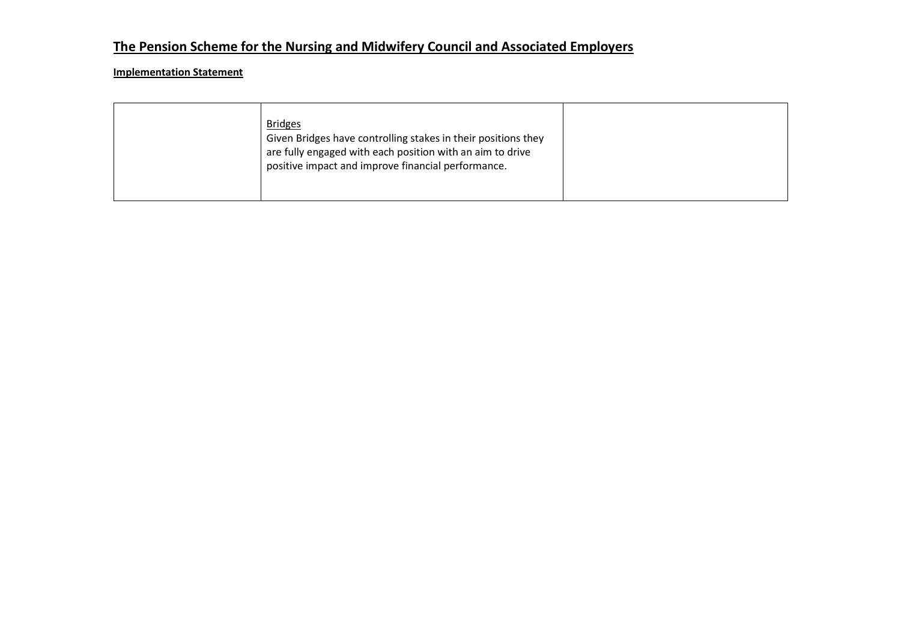|--|